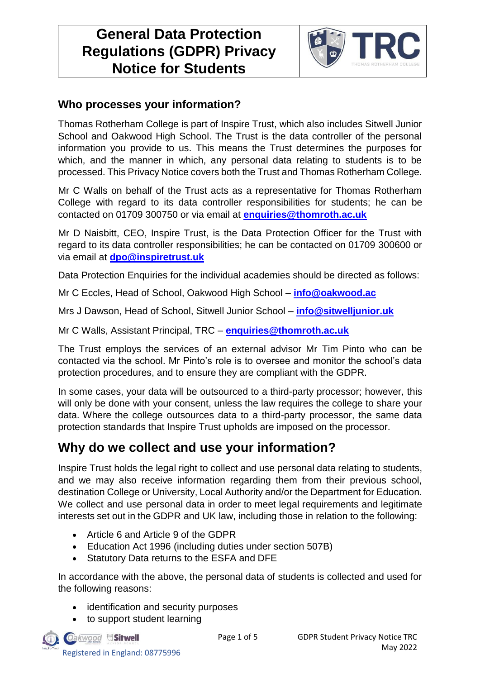# **General Data Protection Regulations (GDPR) Privacy Notice for Students**



## **Who processes your information?**

Thomas Rotherham College is part of Inspire Trust, which also includes Sitwell Junior School and Oakwood High School. The Trust is the data controller of the personal information you provide to us. This means the Trust determines the purposes for which, and the manner in which, any personal data relating to students is to be processed. This Privacy Notice covers both the Trust and Thomas Rotherham College.

Mr C Walls on behalf of the Trust acts as a representative for Thomas Rotherham College with regard to its data controller responsibilities for students; he can be contacted on 01709 300750 or via email at **enquiries@thomroth.ac.uk**

Mr D Naisbitt, CEO, Inspire Trust, is the Data Protection Officer for the Trust with regard to its data controller responsibilities; he can be contacted on 01709 300600 or via email at **[dpo@inspiretrust.uk](mailto:dpo@inspiretrust.uk)**

Data Protection Enquiries for the individual academies should be directed as follows:

Mr C Eccles, Head of School, Oakwood High School – **[info@oakwood.ac](mailto:info@oakwood.ac)**

Mrs J Dawson, Head of School, Sitwell Junior School – **[info@sitwelljunior.uk](mailto:info@sitwelljunior.uk)**

Mr C Walls, Assistant Principal, TRC – **enquiries@thomroth.ac.uk**

The Trust employs the services of an external advisor Mr Tim Pinto who can be contacted via the school. Mr Pinto's role is to oversee and monitor the school's data protection procedures, and to ensure they are compliant with the GDPR.

In some cases, your data will be outsourced to a third-party processor; however, this will only be done with your consent, unless the law requires the college to share your data. Where the college outsources data to a third-party processor, the same data protection standards that Inspire Trust upholds are imposed on the processor.

## **Why do we collect and use your information?**

Inspire Trust holds the legal right to collect and use personal data relating to students, and we may also receive information regarding them from their previous school, destination College or University, Local Authority and/or the Department for Education. We collect and use personal data in order to meet legal requirements and legitimate interests set out in the GDPR and UK law, including those in relation to the following:

- Article 6 and Article 9 of the GDPR
- Education Act 1996 (including duties under section 507B)
- Statutory Data returns to the ESFA and DFE

In accordance with the above, the personal data of students is collected and used for the following reasons:

- identification and security purposes
- to support student learning

Oakwood Sitwell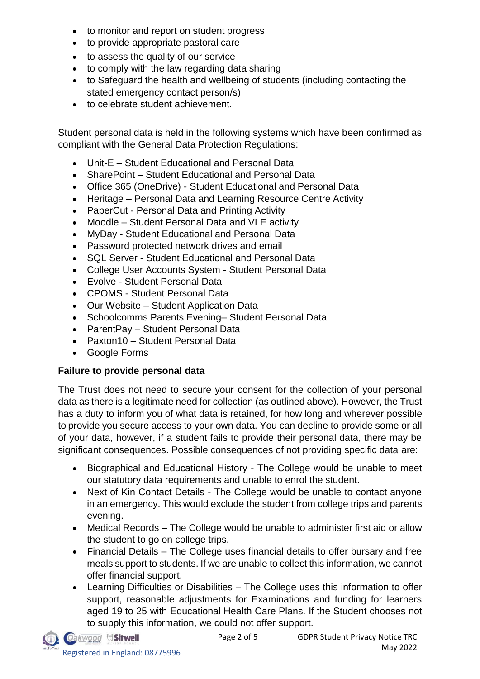- to monitor and report on student progress
- to provide appropriate pastoral care
- to assess the quality of our service
- to comply with the law regarding data sharing
- to Safeguard the health and wellbeing of students (including contacting the stated emergency contact person/s)
- to celebrate student achievement.

Student personal data is held in the following systems which have been confirmed as compliant with the General Data Protection Regulations:

- Unit-E Student Educational and Personal Data
- SharePoint Student Educational and Personal Data
- Office 365 (OneDrive) Student Educational and Personal Data
- Heritage Personal Data and Learning Resource Centre Activity
- PaperCut Personal Data and Printing Activity
- Moodle Student Personal Data and VLE activity
- MyDay Student Educational and Personal Data
- Password protected network drives and email
- SQL Server Student Educational and Personal Data
- College User Accounts System Student Personal Data
- Evolve Student Personal Data
- CPOMS Student Personal Data
- Our Website Student Application Data
- Schoolcomms Parents Evening– Student Personal Data
- ParentPay Student Personal Data
- Paxton10 Student Personal Data
- Google Forms

#### **Failure to provide personal data**

The Trust does not need to secure your consent for the collection of your personal data as there is a legitimate need for collection (as outlined above). However, the Trust has a duty to inform you of what data is retained, for how long and wherever possible to provide you secure access to your own data. You can decline to provide some or all of your data, however, if a student fails to provide their personal data, there may be significant consequences. Possible consequences of not providing specific data are:

- Biographical and Educational History The College would be unable to meet our statutory data requirements and unable to enrol the student.
- Next of Kin Contact Details The College would be unable to contact anyone in an emergency. This would exclude the student from college trips and parents evening.
- Medical Records The College would be unable to administer first aid or allow the student to go on college trips.
- Financial Details The College uses financial details to offer bursary and free meals support to students. If we are unable to collect this information, we cannot offer financial support.
- Learning Difficulties or Disabilities The College uses this information to offer support, reasonable adjustments for Examinations and funding for learners aged 19 to 25 with Educational Health Care Plans. If the Student chooses not to supply this information, we could not offer support.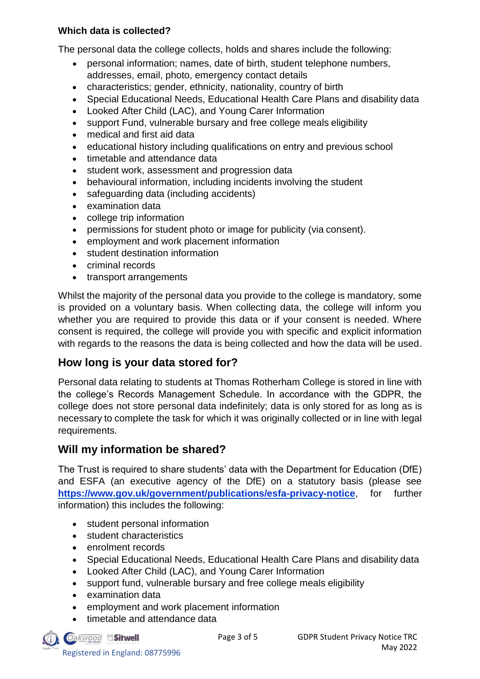#### **Which data is collected?**

The personal data the college collects, holds and shares include the following:

- personal information; names, date of birth, student telephone numbers, addresses, email, photo, emergency contact details
- characteristics; gender, ethnicity, nationality, country of birth
- Special Educational Needs, Educational Health Care Plans and disability data
- Looked After Child (LAC), and Young Carer Information
- support Fund, vulnerable bursary and free college meals eligibility
- medical and first aid data
- educational history including qualifications on entry and previous school
- timetable and attendance data
- student work, assessment and progression data
- behavioural information, including incidents involving the student
- safeguarding data (including accidents)
- examination data
- college trip information
- permissions for student photo or image for publicity (via consent).
- employment and work placement information
- student destination information
- criminal records
- transport arrangements

Whilst the majority of the personal data you provide to the college is mandatory, some is provided on a voluntary basis. When collecting data, the college will inform you whether you are required to provide this data or if your consent is needed. Where consent is required, the college will provide you with specific and explicit information with regards to the reasons the data is being collected and how the data will be used.

#### **How long is your data stored for?**

Personal data relating to students at Thomas Rotherham College is stored in line with the college's Records Management Schedule. In accordance with the GDPR, the college does not store personal data indefinitely; data is only stored for as long as is necessary to complete the task for which it was originally collected or in line with legal requirements.

#### **Will my information be shared?**

The Trust is required to share students' data with the Department for Education (DfE) and ESFA (an executive agency of the DfE) on a statutory basis (please see **<https://www.gov.uk/government/publications/esfa-privacy-notice>**, for further information) this includes the following:

- student personal information
- student characteristics
- enrolment records
- Special Educational Needs, Educational Health Care Plans and disability data
- Looked After Child (LAC), and Young Carer Information
- support fund, vulnerable bursary and free college meals eligibility
- examination data
- employment and work placement information
- timetable and attendance data

Oakwood Sitwell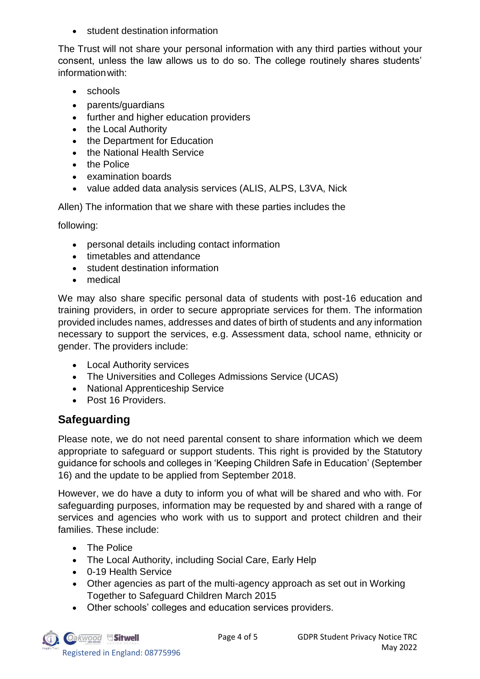• student destination information

The Trust will not share your personal information with any third parties without your consent, unless the law allows us to do so. The college routinely shares students' informationwith:

- schools
- parents/guardians
- further and higher education providers
- the Local Authority
- the Department for Education
- the National Health Service
- the Police
- examination boards
- value added data analysis services (ALIS, ALPS, L3VA, Nick

Allen) The information that we share with these parties includes the

following:

- personal details including contact information
- timetables and attendance
- student destination information
- medical

We may also share specific personal data of students with post-16 education and training providers, in order to secure appropriate services for them. The information provided includes names, addresses and dates of birth of students and any information necessary to support the services, e.g. Assessment data, school name, ethnicity or gender. The providers include:

- Local Authority services
- The Universities and Colleges Admissions Service (UCAS)
- National Apprenticeship Service
- Post 16 Providers.

## **Safeguarding**

Please note, we do not need parental consent to share information which we deem appropriate to safeguard or support students. This right is provided by the Statutory guidance for schools and colleges in 'Keeping Children Safe in Education' (September 16) and the update to be applied from September 2018.

However, we do have a duty to inform you of what will be shared and who with. For safeguarding purposes, information may be requested by and shared with a range of services and agencies who work with us to support and protect children and their families. These include:

- The Police
- The Local Authority, including Social Care, Early Help
- 0-19 Health Service
- Other agencies as part of the multi-agency approach as set out in Working Together to Safeguard Children March 2015
- Other schools' colleges and education services providers.

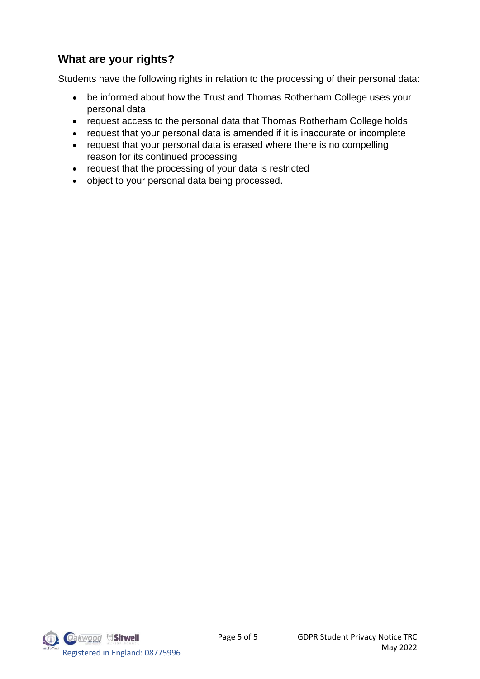## **What are your rights?**

Students have the following rights in relation to the processing of their personal data:

- be informed about how the Trust and Thomas Rotherham College uses your personal data
- request access to the personal data that Thomas Rotherham College holds
- request that your personal data is amended if it is inaccurate or incomplete
- request that your personal data is erased where there is no compelling reason for its continued processing
- request that the processing of your data is restricted
- object to your personal data being processed.